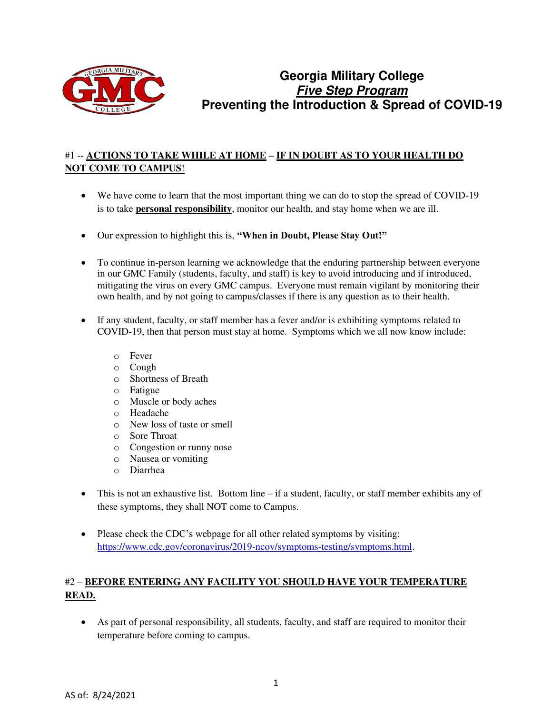

# **Georgia Military College Five Step Program Preventing the Introduction & Spread of COVID-19**

## #1 -- **ACTIONS TO TAKE WHILE AT HOME – IF IN DOUBT AS TO YOUR HEALTH DO NOT COME TO CAMPUS**!

- We have come to learn that the most important thing we can do to stop the spread of COVID-19 is to take **personal responsibility**, monitor our health, and stay home when we are ill.
- Our expression to highlight this is, **"When in Doubt, Please Stay Out!"**
- To continue in-person learning we acknowledge that the enduring partnership between everyone in our GMC Family (students, faculty, and staff) is key to avoid introducing and if introduced, mitigating the virus on every GMC campus. Everyone must remain vigilant by monitoring their own health, and by not going to campus/classes if there is any question as to their health.
- If any student, faculty, or staff member has a fever and/or is exhibiting symptoms related to COVID-19, then that person must stay at home. Symptoms which we all now know include:
	- o Fever
	- o Cough
	- o Shortness of Breath
	- o Fatigue
	- o Muscle or body aches
	- o Headache
	- o New loss of taste or smell
	- o Sore Throat
	- o Congestion or runny nose
	- o Nausea or vomiting
	- o Diarrhea
- This is not an exhaustive list. Bottom line if a student, faculty, or staff member exhibits any of these symptoms, they shall NOT come to Campus.
- Please check the CDC's webpage for all other related symptoms by visiting: [https://www.cdc.gov/coronavirus/2019-ncov/symptoms-testing/symptoms.html.](https://www.cdc.gov/coronavirus/2019-ncov/symptoms-testing/symptoms.html)

## #2 – **BEFORE ENTERING ANY FACILITY YOU SHOULD HAVE YOUR TEMPERATURE READ.**

• As part of personal responsibility, all students, faculty, and staff are required to monitor their temperature before coming to campus.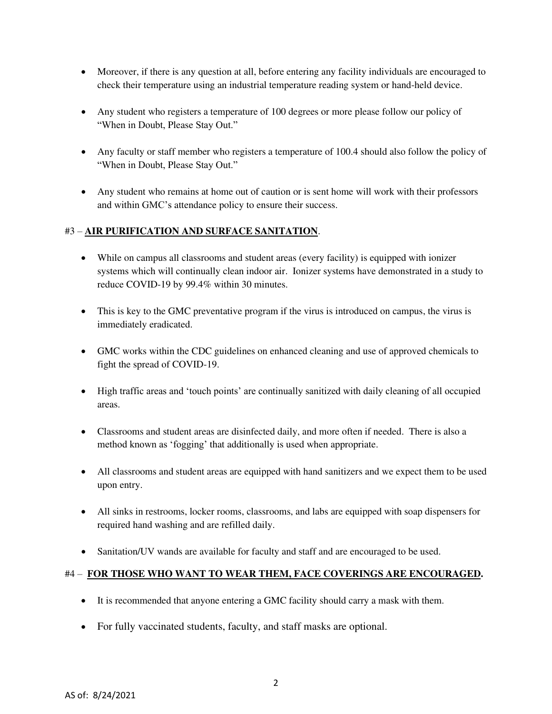- Moreover, if there is any question at all, before entering any facility individuals are encouraged to check their temperature using an industrial temperature reading system or hand-held device.
- Any student who registers a temperature of 100 degrees or more please follow our policy of "When in Doubt, Please Stay Out."
- Any faculty or staff member who registers a temperature of 100.4 should also follow the policy of "When in Doubt, Please Stay Out."
- Any student who remains at home out of caution or is sent home will work with their professors and within GMC's attendance policy to ensure their success.

#### #3 – **AIR PURIFICATION AND SURFACE SANITATION**.

- While on campus all classrooms and student areas (every facility) is equipped with ionizer systems which will continually clean indoor air. Ionizer systems have demonstrated in a study to reduce COVID-19 by 99.4% within 30 minutes.
- This is key to the GMC preventative program if the virus is introduced on campus, the virus is immediately eradicated.
- GMC works within the CDC guidelines on enhanced cleaning and use of approved chemicals to fight the spread of COVID-19.
- High traffic areas and 'touch points' are continually sanitized with daily cleaning of all occupied areas.
- Classrooms and student areas are disinfected daily, and more often if needed. There is also a method known as 'fogging' that additionally is used when appropriate.
- All classrooms and student areas are equipped with hand sanitizers and we expect them to be used upon entry.
- All sinks in restrooms, locker rooms, classrooms, and labs are equipped with soap dispensers for required hand washing and are refilled daily.
- Sanitation/UV wands are available for faculty and staff and are encouraged to be used.

### #4 – **FOR THOSE WHO WANT TO WEAR THEM, FACE COVERINGS ARE ENCOURAGED.**

- It is recommended that anyone entering a GMC facility should carry a mask with them.
- For fully vaccinated students, faculty, and staff masks are optional.